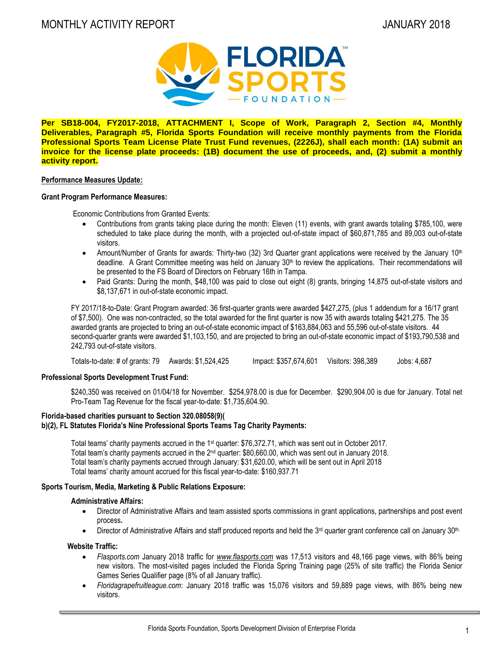

**Per SB18-004, FY2017-2018, ATTACHMENT I, Scope of Work, Paragraph 2, Section #4, Monthly Deliverables, Paragraph #5, Florida Sports Foundation will receive monthly payments from the Florida Professional Sports Team License Plate Trust Fund revenues, (2226J), shall each month: (1A) submit an invoice for the license plate proceeds: (1B) document the use of proceeds, and, (2) submit a monthly activity report.**

#### **Performance Measures Update:**

#### **Grant Program Performance Measures:**

Economic Contributions from Granted Events:

- Contributions from grants taking place during the month: Eleven (11) events, with grant awards totaling \$785,100, were scheduled to take place during the month, with a projected out-of-state impact of \$60,871,785 and 89,003 out-of-state visitors.
- Amount/Number of Grants for awards: Thirty-two (32) 3rd Quarter grant applications were received by the January 10<sup>th</sup> deadline. A Grant Committee meeting was held on January  $30<sup>th</sup>$  to review the applications. Their recommendations will be presented to the FS Board of Directors on February 16th in Tampa.
- Paid Grants: During the month, \$48,100 was paid to close out eight (8) grants, bringing 14,875 out-of-state visitors and \$8,137,671 in out-of-state economic impact.

FY 2017/18-to-Date: Grant Program awarded: 36 first-quarter grants were awarded \$427,275, (plus 1 addendum for a 16/17 grant of \$7,500). One was non-contracted, so the total awarded for the first quarter is now 35 with awards totaling \$421,275. The 35 awarded grants are projected to bring an out-of-state economic impact of \$163,884,063 and 55,596 out-of-state visitors. 44 second-quarter grants were awarded \$1,103,150, and are projected to bring an out-of-state economic impact of \$193,790,538 and 242,793 out-of-state visitors.

Totals-to-date: # of grants: 79 Awards: \$1,524,425 Impact: \$357,674,601 Visitors: 398,389 Jobs: 4,687

# **Professional Sports Development Trust Fund:**

\$240,350 was received on 01/04/18 for November. \$254,978.00 is due for December. \$290,904.00 is due for January. Total net Pro-Team Tag Revenue for the fiscal year-to-date: \$1,735,604.90.

# **Florida-based charities pursuant to Section 320.08058(9)(**

# **b)(2), FL Statutes Florida's Nine Professional Sports Teams Tag Charity Payments:**

Total teams' charity payments accrued in the 1<sup>st</sup> quarter: \$76,372.71, which was sent out in October 2017. Total team's charity payments accrued in the 2nd quarter: \$80,660.00, which was sent out in January 2018. Total team's charity payments accrued through January: \$31,620.00, which will be sent out in April 2018 Total teams' charity amount accrued for this fiscal year-to-date: \$160,937.71

# **Sports Tourism, Media, Marketing & Public Relations Exposure:**

#### **Administrative Affairs:**

- Director of Administrative Affairs and team assisted sports commissions in grant applications, partnerships and post event process**.**
- $\bullet$  Director of Administrative Affairs and staff produced reports and held the 3<sup>rd</sup> quarter grant conference call on January 30<sup>th.</sup>

#### **Website Traffic:**

- *Flasports.com* January 2018 traffic for *[www.flasports.com](http://www.flasports.com/)* was 17,513 visitors and 48,166 page views, with 86% being new visitors. The most-visited pages included the Florida Spring Training page (25% of site traffic) the Florida Senior Games Series Qualifier page (8% of all January traffic).
- *Floridagrapefruitleague.com*: January 2018 traffic was 15,076 visitors and 59,889 page views, with 86% being new visitors.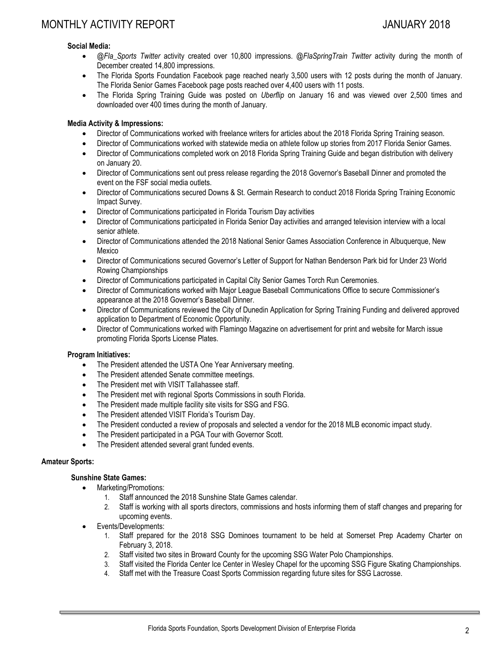# **Social Media:**

- *@Fla\_Sports Twitter* activity created over 10,800 impressions. *@FlaSpringTrain Twitter* activity during the month of December created 14,800 impressions.
- The Florida Sports Foundation Facebook page reached nearly 3,500 users with 12 posts during the month of January. The Florida Senior Games Facebook page posts reached over 4,400 users with 11 posts.
- The Florida Spring Training Guide was posted on *Uberflip* on January 16 and was viewed over 2,500 times and downloaded over 400 times during the month of January.

# **Media Activity & Impressions:**

- Director of Communications worked with freelance writers for articles about the 2018 Florida Spring Training season.
- Director of Communications worked with statewide media on athlete follow up stories from 2017 Florida Senior Games.
- Director of Communications completed work on 2018 Florida Spring Training Guide and began distribution with delivery on January 20.
- Director of Communications sent out press release regarding the 2018 Governor's Baseball Dinner and promoted the event on the FSF social media outlets.
- Director of Communications secured Downs & St. Germain Research to conduct 2018 Florida Spring Training Economic Impact Survey.
- Director of Communications participated in Florida Tourism Day activities
- Director of Communications participated in Florida Senior Day activities and arranged television interview with a local senior athlete.
- Director of Communications attended the 2018 National Senior Games Association Conference in Albuquerque, New Mexico
- Director of Communications secured Governor's Letter of Support for Nathan Benderson Park bid for Under 23 World Rowing Championships
- Director of Communications participated in Capital City Senior Games Torch Run Ceremonies.
- Director of Communications worked with Major League Baseball Communications Office to secure Commissioner's appearance at the 2018 Governor's Baseball Dinner.
- Director of Communications reviewed the City of Dunedin Application for Spring Training Funding and delivered approved application to Department of Economic Opportunity.
- Director of Communications worked with Flamingo Magazine on advertisement for print and website for March issue promoting Florida Sports License Plates.

#### **Program Initiatives:**

- The President attended the USTA One Year Anniversary meeting.
- The President attended Senate committee meetings.
- The President met with VISIT Tallahassee staff.
- The President met with regional Sports Commissions in south Florida.
- The President made multiple facility site visits for SSG and FSG.
- The President attended VISIT Florida's Tourism Day.
- The President conducted a review of proposals and selected a vendor for the 2018 MLB economic impact study.
- The President participated in a PGA Tour with Governor Scott.
- The President attended several grant funded events.

#### **Amateur Sports:**

# **Sunshine State Games:**

- Marketing/Promotions:
	- 1. Staff announced the 2018 Sunshine State Games calendar.
	- 2. Staff is working with all sports directors, commissions and hosts informing them of staff changes and preparing for upcoming events.
- Events/Developments:
	- 1. Staff prepared for the 2018 SSG Dominoes tournament to be held at Somerset Prep Academy Charter on February 3, 2018.
	- 2. Staff visited two sites in Broward County for the upcoming SSG Water Polo Championships.<br>2. Staff visited the Florida Center Ice Center in Weslev Chapel for the upcoming SSG Figure SI
	- 3. Staff visited the Florida Center Ice Center in Wesley Chapel for the upcoming SSG Figure Skating Championships.
	- 4. Staff met with the Treasure Coast Sports Commission regarding future sites for SSG Lacrosse.